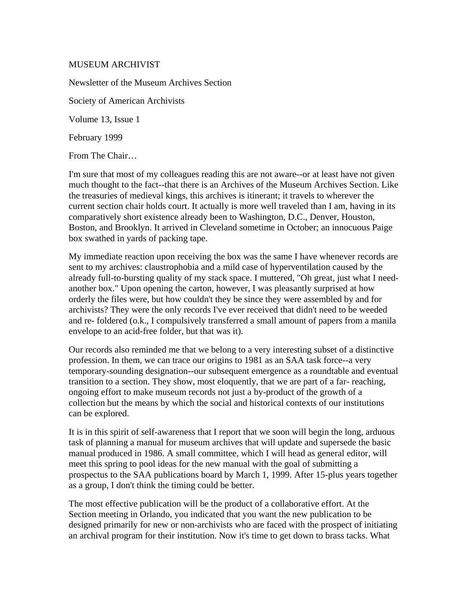## MUSEUM ARCHIVIST

Newsletter of the Museum Archives Section Society of American Archivists Volume 13, Issue 1 February 1999

From The Chair…

I'm sure that most of my colleagues reading this are not aware--or at least have not given much thought to the fact--that there is an Archives of the Museum Archives Section. Like the treasuries of medieval kings, this archives is itinerant; it travels to wherever the current section chair holds court. It actually is more well traveled than I am, having in its comparatively short existence already been to Washington, D.C., Denver, Houston, Boston, and Brooklyn. It arrived in Cleveland sometime in October; an innocuous Paige box swathed in yards of packing tape.

My immediate reaction upon receiving the box was the same I have whenever records are sent to my archives: claustrophobia and a mild case of hyperventilation caused by the already full-to-bursting quality of my stack space. I muttered, "Oh great, just what I needanother box." Upon opening the carton, however, I was pleasantly surprised at how orderly the files were, but how couldn't they be since they were assembled by and for archivists? They were the only records I've ever received that didn't need to be weeded and re- foldered (o.k., I compulsively transferred a small amount of papers from a manila envelope to an acid-free folder, but that was it).

Our records also reminded me that we belong to a very interesting subset of a distinctive profession. In them, we can trace our origins to 1981 as an SAA task force--a very temporary-sounding designation--our subsequent emergence as a roundtable and eventual transition to a section. They show, most eloquently, that we are part of a far- reaching, ongoing effort to make museum records not just a by-product of the growth of a collection but the means by which the social and historical contexts of our institutions can be explored.

It is in this spirit of self-awareness that I report that we soon will begin the long, arduous task of planning a manual for museum archives that will update and supersede the basic manual produced in 1986. A small committee, which I will head as general editor, will meet this spring to pool ideas for the new manual with the goal of submitting a prospectus to the SAA publications board by March 1, 1999. After 15-plus years together as a group, I don't think the timing could be better.

The most effective publication will be the product of a collaborative effort. At the Section meeting in Orlando, you indicated that you want the new publication to be designed primarily for new or non-archivists who are faced with the prospect of initiating an archival program for their institution. Now it's time to get down to brass tacks. What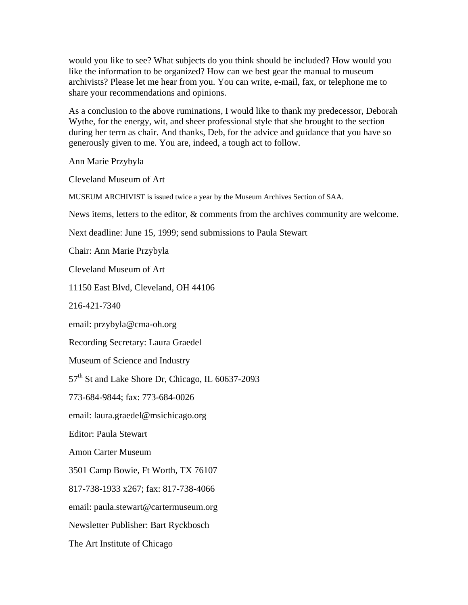would you like to see? What subjects do you think should be included? How would you like the information to be organized? How can we best gear the manual to museum archivists? Please let me hear from you. You can write, e-mail, fax, or telephone me to share your recommendations and opinions.

As a conclusion to the above ruminations, I would like to thank my predecessor, Deborah Wythe, for the energy, wit, and sheer professional style that she brought to the section during her term as chair. And thanks, Deb, for the advice and guidance that you have so generously given to me. You are, indeed, a tough act to follow.

Ann Marie Przybyla

Cleveland Museum of Art

MUSEUM ARCHIVIST is issued twice a year by the Museum Archives Section of SAA.

News items, letters to the editor, & comments from the archives community are welcome.

Next deadline: June 15, 1999; send submissions to Paula Stewart

Chair: Ann Marie Przybyla

Cleveland Museum of Art

11150 East Blvd, Cleveland, OH 44106

216-421-7340

email: przybyla@cma-oh.org

Recording Secretary: Laura Graedel

Museum of Science and Industry

57<sup>th</sup> St and Lake Shore Dr, Chicago, IL 60637-2093

773-684-9844; fax: 773-684-0026

email: laura.graedel@msichicago.org

Editor: Paula Stewart

Amon Carter Museum

3501 Camp Bowie, Ft Worth, TX 76107

817-738-1933 x267; fax: 817-738-4066

email: paula.stewart@cartermuseum.org

Newsletter Publisher: Bart Ryckbosch

The Art Institute of Chicago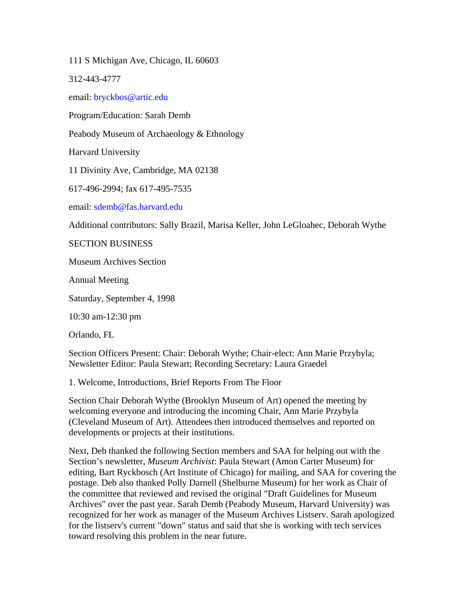111 S Michigan Ave, Chicago, IL 60603

312-443-4777

email: bryckbos@artic.edu

Program/Education: Sarah Demb

Peabody Museum of Archaeology & Ethnology

Harvard University

11 Divinity Ave, Cambridge, MA 02138

617-496-2994; fax 617-495-7535

email: sdemb@fas.harvard.edu

Additional contributors: Sally Brazil, Marisa Keller, John LeGloahec, Deborah Wythe

SECTION BUSINESS

Museum Archives Section

Annual Meeting

Saturday, September 4, 1998

10:30 am-12:30 pm

Orlando, FL

Section Officers Present: Chair: Deborah Wythe; Chair-elect: Ann Marie Przybyla; Newsletter Editor: Paula Stewart; Recording Secretary: Laura Graedel

1. Welcome, Introductions, Brief Reports From The Floor

Section Chair Deborah Wythe (Brooklyn Museum of Art) opened the meeting by welcoming everyone and introducing the incoming Chair, Ann Marie Przybyla (Cleveland Museum of Art). Attendees then introduced themselves and reported on developments or projects at their institutions.

Next, Deb thanked the following Section members and SAA for helping out with the Section's newsletter, *Museum Archivist*: Paula Stewart (Amon Carter Museum) for editing, Bart Ryckbosch (Art Institute of Chicago) for mailing, and SAA for covering the postage. Deb also thanked Polly Darnell (Shelburne Museum) for her work as Chair of the committee that reviewed and revised the original "Draft Guidelines for Museum Archives" over the past year. Sarah Demb (Peabody Museum, Harvard University) was recognized for her work as manager of the Museum Archives Listserv. Sarah apologized for the listserv's current "down" status and said that she is working with tech services toward resolving this problem in the near future.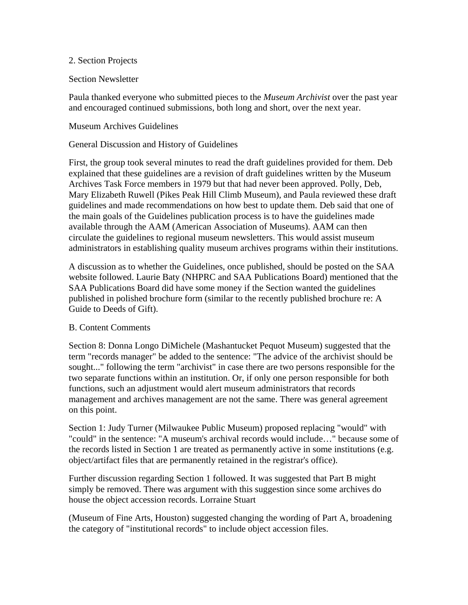#### 2. Section Projects

#### Section Newsletter

Paula thanked everyone who submitted pieces to the *Museum Archivist* over the past year and encouraged continued submissions, both long and short, over the next year.

#### Museum Archives Guidelines

#### General Discussion and History of Guidelines

First, the group took several minutes to read the draft guidelines provided for them. Deb explained that these guidelines are a revision of draft guidelines written by the Museum Archives Task Force members in 1979 but that had never been approved. Polly, Deb, Mary Elizabeth Ruwell (Pikes Peak Hill Climb Museum), and Paula reviewed these draft guidelines and made recommendations on how best to update them. Deb said that one of the main goals of the Guidelines publication process is to have the guidelines made available through the AAM (American Association of Museums). AAM can then circulate the guidelines to regional museum newsletters. This would assist museum administrators in establishing quality museum archives programs within their institutions.

A discussion as to whether the Guidelines, once published, should be posted on the SAA website followed. Laurie Baty (NHPRC and SAA Publications Board) mentioned that the SAA Publications Board did have some money if the Section wanted the guidelines published in polished brochure form (similar to the recently published brochure re: A Guide to Deeds of Gift).

## B. Content Comments

Section 8: Donna Longo DiMichele (Mashantucket Pequot Museum) suggested that the term "records manager" be added to the sentence: "The advice of the archivist should be sought..." following the term "archivist" in case there are two persons responsible for the two separate functions within an institution. Or, if only one person responsible for both functions, such an adjustment would alert museum administrators that records management and archives management are not the same. There was general agreement on this point.

Section 1: Judy Turner (Milwaukee Public Museum) proposed replacing "would" with "could" in the sentence: "A museum's archival records would include…" because some of the records listed in Section 1 are treated as permanently active in some institutions (e.g. object/artifact files that are permanently retained in the registrar's office).

Further discussion regarding Section 1 followed. It was suggested that Part B might simply be removed. There was argument with this suggestion since some archives do house the object accession records. Lorraine Stuart

(Museum of Fine Arts, Houston) suggested changing the wording of Part A, broadening the category of "institutional records" to include object accession files.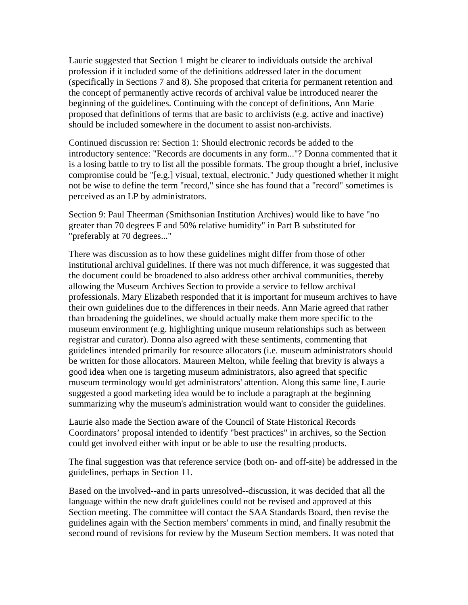Laurie suggested that Section 1 might be clearer to individuals outside the archival profession if it included some of the definitions addressed later in the document (specifically in Sections 7 and 8). She proposed that criteria for permanent retention and the concept of permanently active records of archival value be introduced nearer the beginning of the guidelines. Continuing with the concept of definitions, Ann Marie proposed that definitions of terms that are basic to archivists (e.g. active and inactive) should be included somewhere in the document to assist non-archivists.

Continued discussion re: Section 1: Should electronic records be added to the introductory sentence: "Records are documents in any form..."? Donna commented that it is a losing battle to try to list all the possible formats. The group thought a brief, inclusive compromise could be "[e.g.] visual, textual, electronic." Judy questioned whether it might not be wise to define the term "record," since she has found that a "record" sometimes is perceived as an LP by administrators.

Section 9: Paul Theerman (Smithsonian Institution Archives) would like to have "no greater than 70 degrees F and 50% relative humidity" in Part B substituted for "preferably at 70 degrees..."

There was discussion as to how these guidelines might differ from those of other institutional archival guidelines. If there was not much difference, it was suggested that the document could be broadened to also address other archival communities, thereby allowing the Museum Archives Section to provide a service to fellow archival professionals. Mary Elizabeth responded that it is important for museum archives to have their own guidelines due to the differences in their needs. Ann Marie agreed that rather than broadening the guidelines, we should actually make them more specific to the museum environment (e.g. highlighting unique museum relationships such as between registrar and curator). Donna also agreed with these sentiments, commenting that guidelines intended primarily for resource allocators (i.e. museum administrators should be written for those allocators. Maureen Melton, while feeling that brevity is always a good idea when one is targeting museum administrators, also agreed that specific museum terminology would get administrators' attention. Along this same line, Laurie suggested a good marketing idea would be to include a paragraph at the beginning summarizing why the museum's administration would want to consider the guidelines.

Laurie also made the Section aware of the Council of State Historical Records Coordinators' proposal intended to identify "best practices" in archives, so the Section could get involved either with input or be able to use the resulting products.

The final suggestion was that reference service (both on- and off-site) be addressed in the guidelines, perhaps in Section 11.

Based on the involved--and in parts unresolved--discussion, it was decided that all the language within the new draft guidelines could not be revised and approved at this Section meeting. The committee will contact the SAA Standards Board, then revise the guidelines again with the Section members' comments in mind, and finally resubmit the second round of revisions for review by the Museum Section members. It was noted that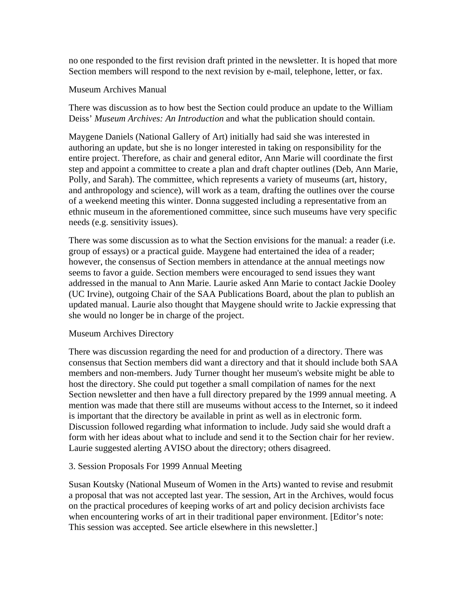no one responded to the first revision draft printed in the newsletter. It is hoped that more Section members will respond to the next revision by e-mail, telephone, letter, or fax.

## Museum Archives Manual

There was discussion as to how best the Section could produce an update to the William Deiss' *Museum Archives: An Introduction* and what the publication should contain.

Maygene Daniels (National Gallery of Art) initially had said she was interested in authoring an update, but she is no longer interested in taking on responsibility for the entire project. Therefore, as chair and general editor, Ann Marie will coordinate the first step and appoint a committee to create a plan and draft chapter outlines (Deb, Ann Marie, Polly, and Sarah). The committee, which represents a variety of museums (art, history, and anthropology and science), will work as a team, drafting the outlines over the course of a weekend meeting this winter. Donna suggested including a representative from an ethnic museum in the aforementioned committee, since such museums have very specific needs (e.g. sensitivity issues).

There was some discussion as to what the Section envisions for the manual: a reader (i.e. group of essays) or a practical guide. Maygene had entertained the idea of a reader; however, the consensus of Section members in attendance at the annual meetings now seems to favor a guide. Section members were encouraged to send issues they want addressed in the manual to Ann Marie. Laurie asked Ann Marie to contact Jackie Dooley (UC Irvine), outgoing Chair of the SAA Publications Board, about the plan to publish an updated manual. Laurie also thought that Maygene should write to Jackie expressing that she would no longer be in charge of the project.

## Museum Archives Directory

There was discussion regarding the need for and production of a directory. There was consensus that Section members did want a directory and that it should include both SAA members and non-members. Judy Turner thought her museum's website might be able to host the directory. She could put together a small compilation of names for the next Section newsletter and then have a full directory prepared by the 1999 annual meeting. A mention was made that there still are museums without access to the Internet, so it indeed is important that the directory be available in print as well as in electronic form. Discussion followed regarding what information to include. Judy said she would draft a form with her ideas about what to include and send it to the Section chair for her review. Laurie suggested alerting AVISO about the directory; others disagreed.

## 3. Session Proposals For 1999 Annual Meeting

Susan Koutsky (National Museum of Women in the Arts) wanted to revise and resubmit a proposal that was not accepted last year. The session, Art in the Archives, would focus on the practical procedures of keeping works of art and policy decision archivists face when encountering works of art in their traditional paper environment. [Editor's note: This session was accepted. See article elsewhere in this newsletter.]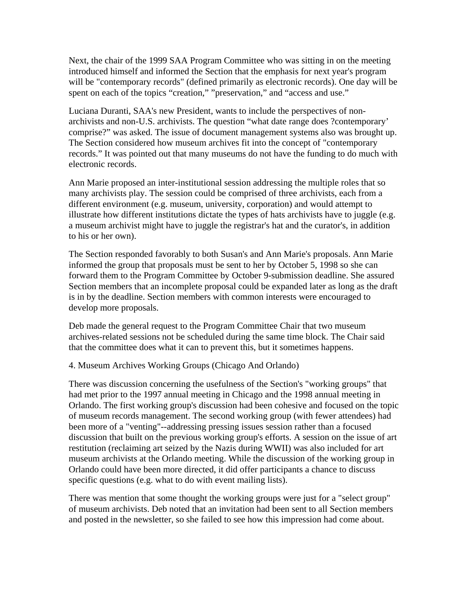Next, the chair of the 1999 SAA Program Committee who was sitting in on the meeting introduced himself and informed the Section that the emphasis for next year's program will be "contemporary records" (defined primarily as electronic records). One day will be spent on each of the topics "creation," "preservation," and "access and use."

Luciana Duranti, SAA's new President, wants to include the perspectives of nonarchivists and non-U.S. archivists. The question "what date range does ?contemporary' comprise?" was asked. The issue of document management systems also was brought up. The Section considered how museum archives fit into the concept of "contemporary records." It was pointed out that many museums do not have the funding to do much with electronic records.

Ann Marie proposed an inter-institutional session addressing the multiple roles that so many archivists play. The session could be comprised of three archivists, each from a different environment (e.g. museum, university, corporation) and would attempt to illustrate how different institutions dictate the types of hats archivists have to juggle (e.g. a museum archivist might have to juggle the registrar's hat and the curator's, in addition to his or her own).

The Section responded favorably to both Susan's and Ann Marie's proposals. Ann Marie informed the group that proposals must be sent to her by October 5, 1998 so she can forward them to the Program Committee by October 9-submission deadline. She assured Section members that an incomplete proposal could be expanded later as long as the draft is in by the deadline. Section members with common interests were encouraged to develop more proposals.

Deb made the general request to the Program Committee Chair that two museum archives-related sessions not be scheduled during the same time block. The Chair said that the committee does what it can to prevent this, but it sometimes happens.

4. Museum Archives Working Groups (Chicago And Orlando)

There was discussion concerning the usefulness of the Section's "working groups" that had met prior to the 1997 annual meeting in Chicago and the 1998 annual meeting in Orlando. The first working group's discussion had been cohesive and focused on the topic of museum records management. The second working group (with fewer attendees) had been more of a "venting"--addressing pressing issues session rather than a focused discussion that built on the previous working group's efforts. A session on the issue of art restitution (reclaiming art seized by the Nazis during WWII) was also included for art museum archivists at the Orlando meeting. While the discussion of the working group in Orlando could have been more directed, it did offer participants a chance to discuss specific questions (e.g. what to do with event mailing lists).

There was mention that some thought the working groups were just for a "select group" of museum archivists. Deb noted that an invitation had been sent to all Section members and posted in the newsletter, so she failed to see how this impression had come about.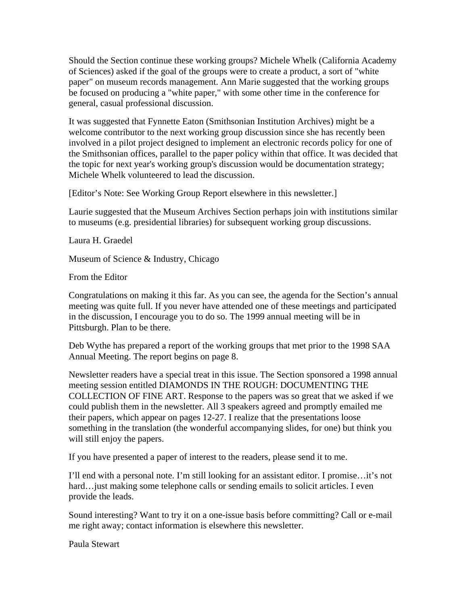Should the Section continue these working groups? Michele Whelk (California Academy of Sciences) asked if the goal of the groups were to create a product, a sort of "white paper" on museum records management. Ann Marie suggested that the working groups be focused on producing a "white paper," with some other time in the conference for general, casual professional discussion.

It was suggested that Fynnette Eaton (Smithsonian Institution Archives) might be a welcome contributor to the next working group discussion since she has recently been involved in a pilot project designed to implement an electronic records policy for one of the Smithsonian offices, parallel to the paper policy within that office. It was decided that the topic for next year's working group's discussion would be documentation strategy; Michele Whelk volunteered to lead the discussion.

[Editor's Note: See Working Group Report elsewhere in this newsletter.]

Laurie suggested that the Museum Archives Section perhaps join with institutions similar to museums (e.g. presidential libraries) for subsequent working group discussions.

Laura H. Graedel

Museum of Science & Industry, Chicago

From the Editor

Congratulations on making it this far. As you can see, the agenda for the Section's annual meeting was quite full. If you never have attended one of these meetings and participated in the discussion, I encourage you to do so. The 1999 annual meeting will be in Pittsburgh. Plan to be there.

Deb Wythe has prepared a report of the working groups that met prior to the 1998 SAA Annual Meeting. The report begins on page 8.

Newsletter readers have a special treat in this issue. The Section sponsored a 1998 annual meeting session entitled DIAMONDS IN THE ROUGH: DOCUMENTING THE COLLECTION OF FINE ART. Response to the papers was so great that we asked if we could publish them in the newsletter. All 3 speakers agreed and promptly emailed me their papers, which appear on pages 12-27. I realize that the presentations loose something in the translation (the wonderful accompanying slides, for one) but think you will still enjoy the papers.

If you have presented a paper of interest to the readers, please send it to me.

I'll end with a personal note. I'm still looking for an assistant editor. I promise…it's not hard…just making some telephone calls or sending emails to solicit articles. I even provide the leads.

Sound interesting? Want to try it on a one-issue basis before committing? Call or e-mail me right away; contact information is elsewhere this newsletter.

Paula Stewart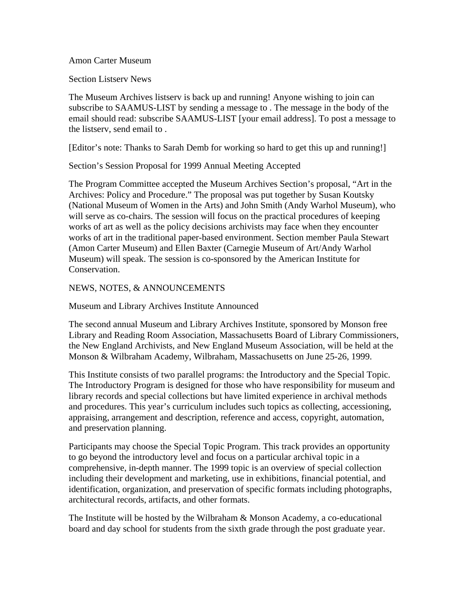#### Amon Carter Museum

Section Listserv News

The Museum Archives listserv is back up and running! Anyone wishing to join can subscribe to SAAMUS-LIST by sending a message to . The message in the body of the email should read: subscribe SAAMUS-LIST [your email address]. To post a message to the listserv, send email to .

[Editor's note: Thanks to Sarah Demb for working so hard to get this up and running!]

Section's Session Proposal for 1999 Annual Meeting Accepted

The Program Committee accepted the Museum Archives Section's proposal, "Art in the Archives: Policy and Procedure." The proposal was put together by Susan Koutsky (National Museum of Women in the Arts) and John Smith (Andy Warhol Museum), who will serve as co-chairs. The session will focus on the practical procedures of keeping works of art as well as the policy decisions archivists may face when they encounter works of art in the traditional paper-based environment. Section member Paula Stewart (Amon Carter Museum) and Ellen Baxter (Carnegie Museum of Art/Andy Warhol Museum) will speak. The session is co-sponsored by the American Institute for Conservation.

NEWS, NOTES, & ANNOUNCEMENTS

Museum and Library Archives Institute Announced

The second annual Museum and Library Archives Institute, sponsored by Monson free Library and Reading Room Association, Massachusetts Board of Library Commissioners, the New England Archivists, and New England Museum Association, will be held at the Monson & Wilbraham Academy, Wilbraham, Massachusetts on June 25-26, 1999.

This Institute consists of two parallel programs: the Introductory and the Special Topic. The Introductory Program is designed for those who have responsibility for museum and library records and special collections but have limited experience in archival methods and procedures. This year's curriculum includes such topics as collecting, accessioning, appraising, arrangement and description, reference and access, copyright, automation, and preservation planning.

Participants may choose the Special Topic Program. This track provides an opportunity to go beyond the introductory level and focus on a particular archival topic in a comprehensive, in-depth manner. The 1999 topic is an overview of special collection including their development and marketing, use in exhibitions, financial potential, and identification, organization, and preservation of specific formats including photographs, architectural records, artifacts, and other formats.

The Institute will be hosted by the Wilbraham  $\&$  Monson Academy, a co-educational board and day school for students from the sixth grade through the post graduate year.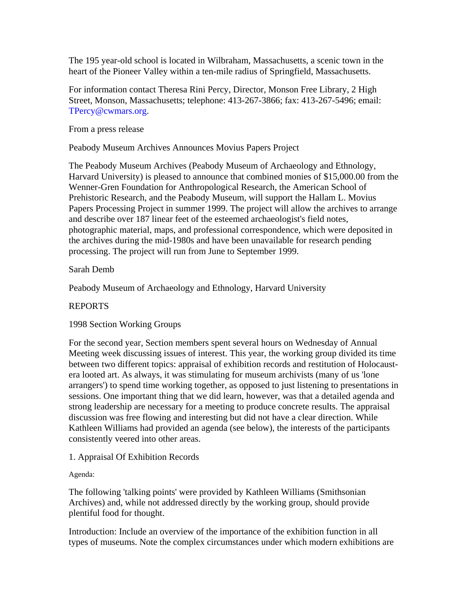The 195 year-old school is located in Wilbraham, Massachusetts, a scenic town in the heart of the Pioneer Valley within a ten-mile radius of Springfield, Massachusetts.

For information contact Theresa Rini Percy, Director, Monson Free Library, 2 High Street, Monson, Massachusetts; telephone: 413-267-3866; fax: 413-267-5496; email: TPercy@cwmars.org.

From a press release

Peabody Museum Archives Announces Movius Papers Project

The Peabody Museum Archives (Peabody Museum of Archaeology and Ethnology, Harvard University) is pleased to announce that combined monies of \$15,000.00 from the Wenner-Gren Foundation for Anthropological Research, the American School of Prehistoric Research, and the Peabody Museum, will support the Hallam L. Movius Papers Processing Project in summer 1999. The project will allow the archives to arrange and describe over 187 linear feet of the esteemed archaeologist's field notes, photographic material, maps, and professional correspondence, which were deposited in the archives during the mid-1980s and have been unavailable for research pending processing. The project will run from June to September 1999.

Sarah Demb

Peabody Museum of Archaeology and Ethnology, Harvard University

# REPORTS

1998 Section Working Groups

For the second year, Section members spent several hours on Wednesday of Annual Meeting week discussing issues of interest. This year, the working group divided its time between two different topics: appraisal of exhibition records and restitution of Holocaustera looted art. As always, it was stimulating for museum archivists (many of us 'lone arrangers') to spend time working together, as opposed to just listening to presentations in sessions. One important thing that we did learn, however, was that a detailed agenda and strong leadership are necessary for a meeting to produce concrete results. The appraisal discussion was free flowing and interesting but did not have a clear direction. While Kathleen Williams had provided an agenda (see below), the interests of the participants consistently veered into other areas.

1. Appraisal Of Exhibition Records

Agenda:

The following 'talking points' were provided by Kathleen Williams (Smithsonian Archives) and, while not addressed directly by the working group, should provide plentiful food for thought.

Introduction: Include an overview of the importance of the exhibition function in all types of museums. Note the complex circumstances under which modern exhibitions are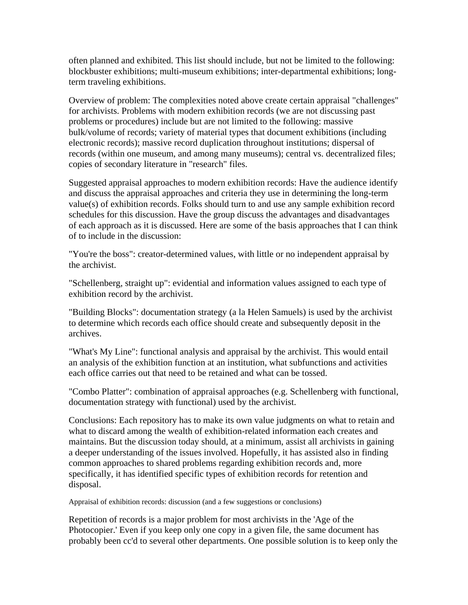often planned and exhibited. This list should include, but not be limited to the following: blockbuster exhibitions; multi-museum exhibitions; inter-departmental exhibitions; longterm traveling exhibitions.

Overview of problem: The complexities noted above create certain appraisal "challenges" for archivists. Problems with modern exhibition records (we are not discussing past problems or procedures) include but are not limited to the following: massive bulk/volume of records; variety of material types that document exhibitions (including electronic records); massive record duplication throughout institutions; dispersal of records (within one museum, and among many museums); central vs. decentralized files; copies of secondary literature in "research" files.

Suggested appraisal approaches to modern exhibition records: Have the audience identify and discuss the appraisal approaches and criteria they use in determining the long-term value(s) of exhibition records. Folks should turn to and use any sample exhibition record schedules for this discussion. Have the group discuss the advantages and disadvantages of each approach as it is discussed. Here are some of the basis approaches that I can think of to include in the discussion:

"You're the boss": creator-determined values, with little or no independent appraisal by the archivist.

"Schellenberg, straight up": evidential and information values assigned to each type of exhibition record by the archivist.

"Building Blocks": documentation strategy (a la Helen Samuels) is used by the archivist to determine which records each office should create and subsequently deposit in the archives.

"What's My Line": functional analysis and appraisal by the archivist. This would entail an analysis of the exhibition function at an institution, what subfunctions and activities each office carries out that need to be retained and what can be tossed.

"Combo Platter": combination of appraisal approaches (e.g. Schellenberg with functional, documentation strategy with functional) used by the archivist.

Conclusions: Each repository has to make its own value judgments on what to retain and what to discard among the wealth of exhibition-related information each creates and maintains. But the discussion today should, at a minimum, assist all archivists in gaining a deeper understanding of the issues involved. Hopefully, it has assisted also in finding common approaches to shared problems regarding exhibition records and, more specifically, it has identified specific types of exhibition records for retention and disposal.

Appraisal of exhibition records: discussion (and a few suggestions or conclusions)

Repetition of records is a major problem for most archivists in the 'Age of the Photocopier.' Even if you keep only one copy in a given file, the same document has probably been cc'd to several other departments. One possible solution is to keep only the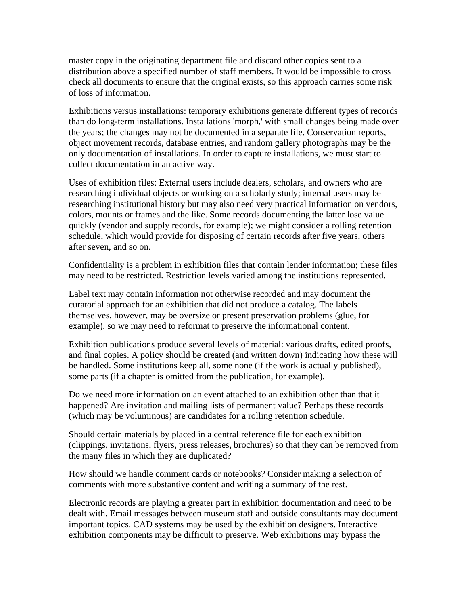master copy in the originating department file and discard other copies sent to a distribution above a specified number of staff members. It would be impossible to cross check all documents to ensure that the original exists, so this approach carries some risk of loss of information.

Exhibitions versus installations: temporary exhibitions generate different types of records than do long-term installations. Installations 'morph,' with small changes being made over the years; the changes may not be documented in a separate file. Conservation reports, object movement records, database entries, and random gallery photographs may be the only documentation of installations. In order to capture installations, we must start to collect documentation in an active way.

Uses of exhibition files: External users include dealers, scholars, and owners who are researching individual objects or working on a scholarly study; internal users may be researching institutional history but may also need very practical information on vendors, colors, mounts or frames and the like. Some records documenting the latter lose value quickly (vendor and supply records, for example); we might consider a rolling retention schedule, which would provide for disposing of certain records after five years, others after seven, and so on.

Confidentiality is a problem in exhibition files that contain lender information; these files may need to be restricted. Restriction levels varied among the institutions represented.

Label text may contain information not otherwise recorded and may document the curatorial approach for an exhibition that did not produce a catalog. The labels themselves, however, may be oversize or present preservation problems (glue, for example), so we may need to reformat to preserve the informational content.

Exhibition publications produce several levels of material: various drafts, edited proofs, and final copies. A policy should be created (and written down) indicating how these will be handled. Some institutions keep all, some none (if the work is actually published), some parts (if a chapter is omitted from the publication, for example).

Do we need more information on an event attached to an exhibition other than that it happened? Are invitation and mailing lists of permanent value? Perhaps these records (which may be voluminous) are candidates for a rolling retention schedule.

Should certain materials by placed in a central reference file for each exhibition (clippings, invitations, flyers, press releases, brochures) so that they can be removed from the many files in which they are duplicated?

How should we handle comment cards or notebooks? Consider making a selection of comments with more substantive content and writing a summary of the rest.

Electronic records are playing a greater part in exhibition documentation and need to be dealt with. Email messages between museum staff and outside consultants may document important topics. CAD systems may be used by the exhibition designers. Interactive exhibition components may be difficult to preserve. Web exhibitions may bypass the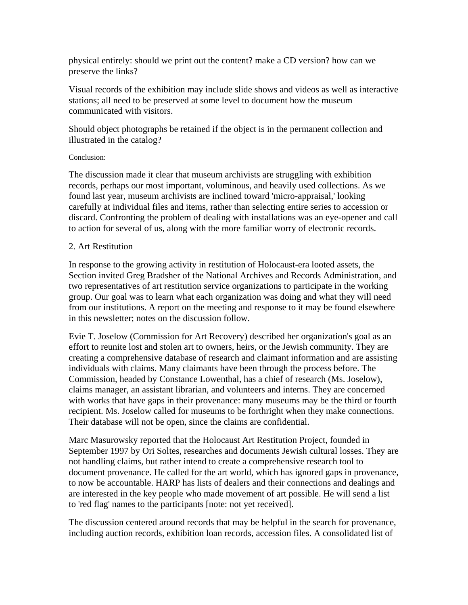physical entirely: should we print out the content? make a CD version? how can we preserve the links?

Visual records of the exhibition may include slide shows and videos as well as interactive stations; all need to be preserved at some level to document how the museum communicated with visitors.

Should object photographs be retained if the object is in the permanent collection and illustrated in the catalog?

## Conclusion:

The discussion made it clear that museum archivists are struggling with exhibition records, perhaps our most important, voluminous, and heavily used collections. As we found last year, museum archivists are inclined toward 'micro-appraisal,' looking carefully at individual files and items, rather than selecting entire series to accession or discard. Confronting the problem of dealing with installations was an eye-opener and call to action for several of us, along with the more familiar worry of electronic records.

## 2. Art Restitution

In response to the growing activity in restitution of Holocaust-era looted assets, the Section invited Greg Bradsher of the National Archives and Records Administration, and two representatives of art restitution service organizations to participate in the working group. Our goal was to learn what each organization was doing and what they will need from our institutions. A report on the meeting and response to it may be found elsewhere in this newsletter; notes on the discussion follow.

Evie T. Joselow (Commission for Art Recovery) described her organization's goal as an effort to reunite lost and stolen art to owners, heirs, or the Jewish community. They are creating a comprehensive database of research and claimant information and are assisting individuals with claims. Many claimants have been through the process before. The Commission, headed by Constance Lowenthal, has a chief of research (Ms. Joselow), claims manager, an assistant librarian, and volunteers and interns. They are concerned with works that have gaps in their provenance: many museums may be the third or fourth recipient. Ms. Joselow called for museums to be forthright when they make connections. Their database will not be open, since the claims are confidential.

Marc Masurowsky reported that the Holocaust Art Restitution Project, founded in September 1997 by Ori Soltes, researches and documents Jewish cultural losses. They are not handling claims, but rather intend to create a comprehensive research tool to document provenance. He called for the art world, which has ignored gaps in provenance, to now be accountable. HARP has lists of dealers and their connections and dealings and are interested in the key people who made movement of art possible. He will send a list to 'red flag' names to the participants [note: not yet received].

The discussion centered around records that may be helpful in the search for provenance, including auction records, exhibition loan records, accession files. A consolidated list of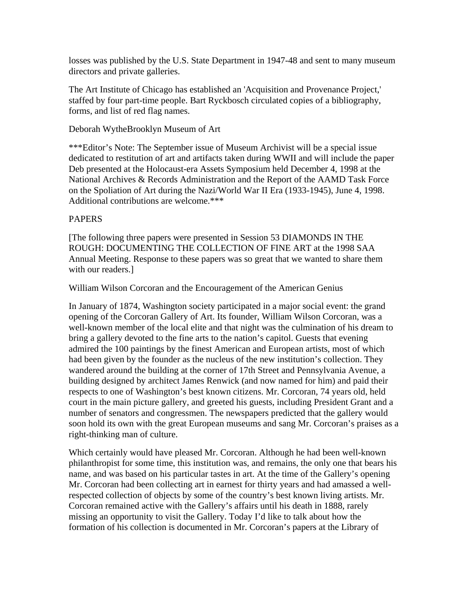losses was published by the U.S. State Department in 1947-48 and sent to many museum directors and private galleries.

The Art Institute of Chicago has established an 'Acquisition and Provenance Project,' staffed by four part-time people. Bart Ryckbosch circulated copies of a bibliography, forms, and list of red flag names.

## Deborah WytheBrooklyn Museum of Art

\*\*\*Editor's Note: The September issue of Museum Archivist will be a special issue dedicated to restitution of art and artifacts taken during WWII and will include the paper Deb presented at the Holocaust-era Assets Symposium held December 4, 1998 at the National Archives & Records Administration and the Report of the AAMD Task Force on the Spoliation of Art during the Nazi/World War II Era (1933-1945), June 4, 1998. Additional contributions are welcome.\*\*\*

# PAPERS

[The following three papers were presented in Session 53 DIAMONDS IN THE ROUGH: DOCUMENTING THE COLLECTION OF FINE ART at the 1998 SAA Annual Meeting. Response to these papers was so great that we wanted to share them with our readers.]

William Wilson Corcoran and the Encouragement of the American Genius

In January of 1874, Washington society participated in a major social event: the grand opening of the Corcoran Gallery of Art. Its founder, William Wilson Corcoran, was a well-known member of the local elite and that night was the culmination of his dream to bring a gallery devoted to the fine arts to the nation's capitol. Guests that evening admired the 100 paintings by the finest American and European artists, most of which had been given by the founder as the nucleus of the new institution's collection. They wandered around the building at the corner of 17th Street and Pennsylvania Avenue, a building designed by architect James Renwick (and now named for him) and paid their respects to one of Washington's best known citizens. Mr. Corcoran, 74 years old, held court in the main picture gallery, and greeted his guests, including President Grant and a number of senators and congressmen. The newspapers predicted that the gallery would soon hold its own with the great European museums and sang Mr. Corcoran's praises as a right-thinking man of culture.

Which certainly would have pleased Mr. Corcoran. Although he had been well-known philanthropist for some time, this institution was, and remains, the only one that bears his name, and was based on his particular tastes in art. At the time of the Gallery's opening Mr. Corcoran had been collecting art in earnest for thirty years and had amassed a wellrespected collection of objects by some of the country's best known living artists. Mr. Corcoran remained active with the Gallery's affairs until his death in 1888, rarely missing an opportunity to visit the Gallery. Today I'd like to talk about how the formation of his collection is documented in Mr. Corcoran's papers at the Library of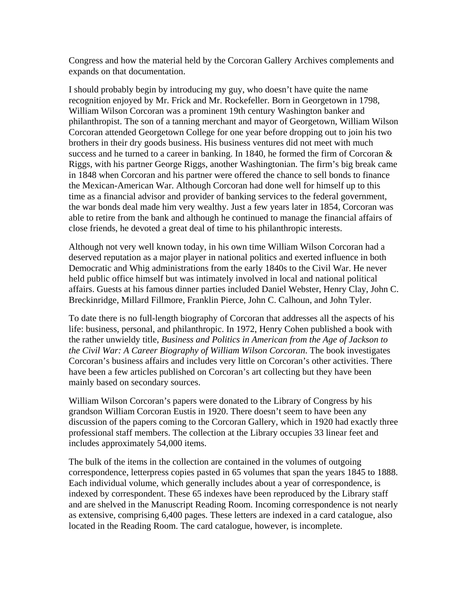Congress and how the material held by the Corcoran Gallery Archives complements and expands on that documentation.

I should probably begin by introducing my guy, who doesn't have quite the name recognition enjoyed by Mr. Frick and Mr. Rockefeller. Born in Georgetown in 1798, William Wilson Corcoran was a prominent 19th century Washington banker and philanthropist. The son of a tanning merchant and mayor of Georgetown, William Wilson Corcoran attended Georgetown College for one year before dropping out to join his two brothers in their dry goods business. His business ventures did not meet with much success and he turned to a career in banking. In 1840, he formed the firm of Corcoran  $\&$ Riggs, with his partner George Riggs, another Washingtonian. The firm's big break came in 1848 when Corcoran and his partner were offered the chance to sell bonds to finance the Mexican-American War. Although Corcoran had done well for himself up to this time as a financial advisor and provider of banking services to the federal government, the war bonds deal made him very wealthy. Just a few years later in 1854, Corcoran was able to retire from the bank and although he continued to manage the financial affairs of close friends, he devoted a great deal of time to his philanthropic interests.

Although not very well known today, in his own time William Wilson Corcoran had a deserved reputation as a major player in national politics and exerted influence in both Democratic and Whig administrations from the early 1840s to the Civil War. He never held public office himself but was intimately involved in local and national political affairs. Guests at his famous dinner parties included Daniel Webster, Henry Clay, John C. Breckinridge, Millard Fillmore, Franklin Pierce, John C. Calhoun, and John Tyler.

To date there is no full-length biography of Corcoran that addresses all the aspects of his life: business, personal, and philanthropic. In 1972, Henry Cohen published a book with the rather unwieldy title, *Business and Politics in American from the Age of Jackson to the Civil War: A Career Biography of William Wilson Corcoran*. The book investigates Corcoran's business affairs and includes very little on Corcoran's other activities. There have been a few articles published on Corcoran's art collecting but they have been mainly based on secondary sources.

William Wilson Corcoran's papers were donated to the Library of Congress by his grandson William Corcoran Eustis in 1920. There doesn't seem to have been any discussion of the papers coming to the Corcoran Gallery, which in 1920 had exactly three professional staff members. The collection at the Library occupies 33 linear feet and includes approximately 54,000 items.

The bulk of the items in the collection are contained in the volumes of outgoing correspondence, letterpress copies pasted in 65 volumes that span the years 1845 to 1888. Each individual volume, which generally includes about a year of correspondence, is indexed by correspondent. These 65 indexes have been reproduced by the Library staff and are shelved in the Manuscript Reading Room. Incoming correspondence is not nearly as extensive, comprising 6,400 pages. These letters are indexed in a card catalogue, also located in the Reading Room. The card catalogue, however, is incomplete.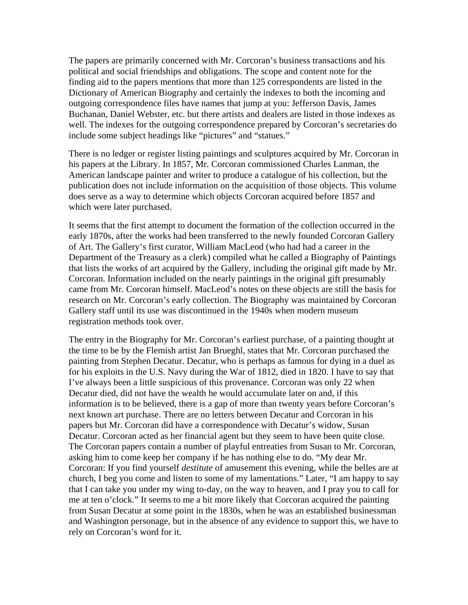The papers are primarily concerned with Mr. Corcoran's business transactions and his political and social friendships and obligations. The scope and content note for the finding aid to the papers mentions that more than 125 correspondents are listed in the Dictionary of American Biography and certainly the indexes to both the incoming and outgoing correspondence files have names that jump at you: Jefferson Davis, James Buchanan, Daniel Webster, etc. but there artists and dealers are listed in those indexes as well. The indexes for the outgoing correspondence prepared by Corcoran's secretaries do include some subject headings like "pictures" and "statues."

There is no ledger or register listing paintings and sculptures acquired by Mr. Corcoran in his papers at the Library. In 1857, Mr. Corcoran commissioned Charles Lanman, the American landscape painter and writer to produce a catalogue of his collection, but the publication does not include information on the acquisition of those objects. This volume does serve as a way to determine which objects Corcoran acquired before 1857 and which were later purchased.

It seems that the first attempt to document the formation of the collection occurred in the early 1870s, after the works had been transferred to the newly founded Corcoran Gallery of Art. The Gallery's first curator, William MacLeod (who had had a career in the Department of the Treasury as a clerk) compiled what he called a Biography of Paintings that lists the works of art acquired by the Gallery, including the original gift made by Mr. Corcoran. Information included on the nearly paintings in the original gift presumably came from Mr. Corcoran himself. MacLeod's notes on these objects are still the basis for research on Mr. Corcoran's early collection. The Biography was maintained by Corcoran Gallery staff until its use was discontinued in the 1940s when modern museum registration methods took over.

The entry in the Biography for Mr. Corcoran's earliest purchase, of a painting thought at the time to be by the Flemish artist Jan Brueghl, states that Mr. Corcoran purchased the painting from Stephen Decatur. Decatur, who is perhaps as famous for dying in a duel as for his exploits in the U.S. Navy during the War of 1812, died in 1820. I have to say that I've always been a little suspicious of this provenance. Corcoran was only 22 when Decatur died, did not have the wealth he would accumulate later on and, if this information is to be believed, there is a gap of more than twenty years before Corcoran's next known art purchase. There are no letters between Decatur and Corcoran in his papers but Mr. Corcoran did have a correspondence with Decatur's widow, Susan Decatur. Corcoran acted as her financial agent but they seem to have been quite close. The Corcoran papers contain a number of playful entreaties from Susan to Mr. Corcoran, asking him to come keep her company if he has nothing else to do. "My dear Mr. Corcoran: If you find yourself *destitute* of amusement this evening, while the belles are at church, I beg you come and listen to some of my lamentations." Later, "I am happy to say that I can take you under my wing to-day, on the way to heaven, and I pray you to call for me at ten o'clock." It seems to me a bit more likely that Corcoran acquired the painting from Susan Decatur at some point in the 1830s, when he was an established businessman and Washington personage, but in the absence of any evidence to support this, we have to rely on Corcoran's word for it.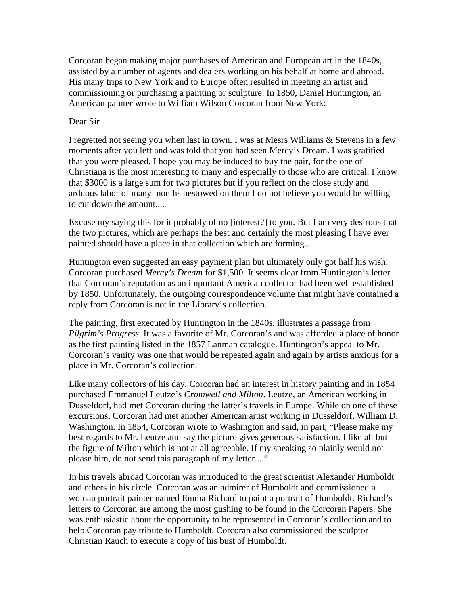Corcoran began making major purchases of American and European art in the 1840s, assisted by a number of agents and dealers working on his behalf at home and abroad. His many trips to New York and to Europe often resulted in meeting an artist and commissioning or purchasing a painting or sculpture. In 1850, Daniel Huntington, an American painter wrote to William Wilson Corcoran from New York:

## Dear Sir

I regretted not seeing you when last in town. I was at Mesrs Williams & Stevens in a few moments after you left and was told that you had seen Mercy's Dream. I was gratified that you were pleased. I hope you may be induced to buy the pair, for the one of Christiana is the most interesting to many and especially to those who are critical. I know that \$3000 is a large sum for two pictures but if you reflect on the close study and arduous labor of many months bestowed on them I do not believe you would be willing to cut down the amount....

Excuse my saying this for it probably of no [interest?] to you. But I am very desirous that the two pictures, which are perhaps the best and certainly the most pleasing I have ever painted should have a place in that collection which are forming...

Huntington even suggested an easy payment plan but ultimately only got half his wish: Corcoran purchased *Mercy's Dream* for \$1,500. It seems clear from Huntington's letter that Corcoran's reputation as an important American collector had been well established by 1850. Unfortunately, the outgoing correspondence volume that might have contained a reply from Corcoran is not in the Library's collection.

The painting, first executed by Huntington in the 1840s, illustrates a passage from *Pilgrim's Progress*. It was a favorite of Mr. Corcoran's and was afforded a place of honor as the first painting listed in the 1857 Lanman catalogue. Huntington's appeal to Mr. Corcoran's vanity was one that would be repeated again and again by artists anxious for a place in Mr. Corcoran's collection.

Like many collectors of his day, Corcoran had an interest in history painting and in 1854 purchased Emmanuel Leutze's *Cromwell and Milton*. Leutze, an American working in Dusseldorf, had met Corcoran during the latter's travels in Europe. While on one of these excursions, Corcoran had met another American artist working in Dusseldorf, William D. Washington. In 1854, Corcoran wrote to Washington and said, in part, "Please make my best regards to Mr. Leutze and say the picture gives generous satisfaction. I like all but the figure of Milton which is not at all agreeable. If my speaking so plainly would not please him, do not send this paragraph of my letter...."

In his travels abroad Corcoran was introduced to the great scientist Alexander Humboldt and others in his circle. Corcoran was an admirer of Humboldt and commissioned a woman portrait painter named Emma Richard to paint a portrait of Humboldt. Richard's letters to Corcoran are among the most gushing to be found in the Corcoran Papers. She was enthusiastic about the opportunity to be represented in Corcoran's collection and to help Corcoran pay tribute to Humboldt. Corcoran also commissioned the sculptor Christian Rauch to execute a copy of his bust of Humboldt.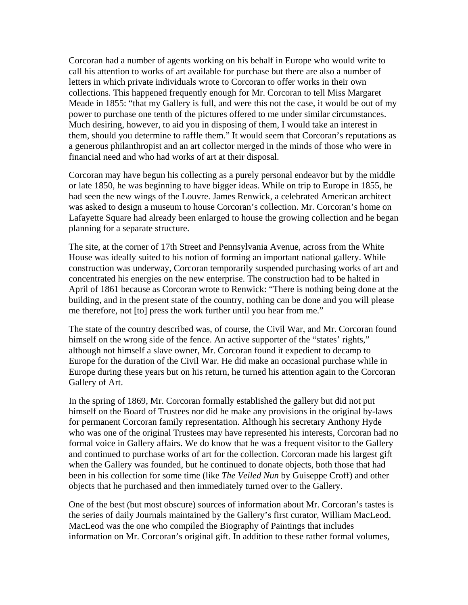Corcoran had a number of agents working on his behalf in Europe who would write to call his attention to works of art available for purchase but there are also a number of letters in which private individuals wrote to Corcoran to offer works in their own collections. This happened frequently enough for Mr. Corcoran to tell Miss Margaret Meade in 1855: "that my Gallery is full, and were this not the case, it would be out of my power to purchase one tenth of the pictures offered to me under similar circumstances. Much desiring, however, to aid you in disposing of them, I would take an interest in them, should you determine to raffle them." It would seem that Corcoran's reputations as a generous philanthropist and an art collector merged in the minds of those who were in financial need and who had works of art at their disposal.

Corcoran may have begun his collecting as a purely personal endeavor but by the middle or late 1850, he was beginning to have bigger ideas. While on trip to Europe in 1855, he had seen the new wings of the Louvre. James Renwick, a celebrated American architect was asked to design a museum to house Corcoran's collection. Mr. Corcoran's home on Lafayette Square had already been enlarged to house the growing collection and he began planning for a separate structure.

The site, at the corner of 17th Street and Pennsylvania Avenue, across from the White House was ideally suited to his notion of forming an important national gallery. While construction was underway, Corcoran temporarily suspended purchasing works of art and concentrated his energies on the new enterprise. The construction had to be halted in April of 1861 because as Corcoran wrote to Renwick: "There is nothing being done at the building, and in the present state of the country, nothing can be done and you will please me therefore, not [to] press the work further until you hear from me."

The state of the country described was, of course, the Civil War, and Mr. Corcoran found himself on the wrong side of the fence. An active supporter of the "states' rights," although not himself a slave owner, Mr. Corcoran found it expedient to decamp to Europe for the duration of the Civil War. He did make an occasional purchase while in Europe during these years but on his return, he turned his attention again to the Corcoran Gallery of Art.

In the spring of 1869, Mr. Corcoran formally established the gallery but did not put himself on the Board of Trustees nor did he make any provisions in the original by-laws for permanent Corcoran family representation. Although his secretary Anthony Hyde who was one of the original Trustees may have represented his interests, Corcoran had no formal voice in Gallery affairs. We do know that he was a frequent visitor to the Gallery and continued to purchase works of art for the collection. Corcoran made his largest gift when the Gallery was founded, but he continued to donate objects, both those that had been in his collection for some time (like *The Veiled Nun* by Guiseppe Croff) and other objects that he purchased and then immediately turned over to the Gallery.

One of the best (but most obscure) sources of information about Mr. Corcoran's tastes is the series of daily Journals maintained by the Gallery's first curator, William MacLeod. MacLeod was the one who compiled the Biography of Paintings that includes information on Mr. Corcoran's original gift. In addition to these rather formal volumes,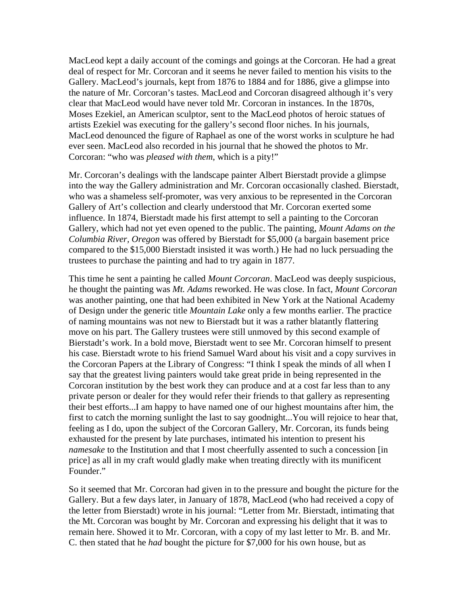MacLeod kept a daily account of the comings and goings at the Corcoran. He had a great deal of respect for Mr. Corcoran and it seems he never failed to mention his visits to the Gallery. MacLeod's journals, kept from 1876 to 1884 and for 1886, give a glimpse into the nature of Mr. Corcoran's tastes. MacLeod and Corcoran disagreed although it's very clear that MacLeod would have never told Mr. Corcoran in instances. In the 1870s, Moses Ezekiel, an American sculptor, sent to the MacLeod photos of heroic statues of artists Ezekiel was executing for the gallery's second floor niches. In his journals, MacLeod denounced the figure of Raphael as one of the worst works in sculpture he had ever seen. MacLeod also recorded in his journal that he showed the photos to Mr. Corcoran: "who was *pleased with them*, which is a pity!"

Mr. Corcoran's dealings with the landscape painter Albert Bierstadt provide a glimpse into the way the Gallery administration and Mr. Corcoran occasionally clashed. Bierstadt, who was a shameless self-promoter, was very anxious to be represented in the Corcoran Gallery of Art's collection and clearly understood that Mr. Corcoran exerted some influence. In 1874, Bierstadt made his first attempt to sell a painting to the Corcoran Gallery, which had not yet even opened to the public. The painting, *Mount Adams on the Columbia River, Oregon* was offered by Bierstadt for \$5,000 (a bargain basement price compared to the \$15,000 Bierstadt insisted it was worth.) He had no luck persuading the trustees to purchase the painting and had to try again in 1877.

This time he sent a painting he called *Mount Corcoran*. MacLeod was deeply suspicious, he thought the painting was *Mt. Adams* reworked. He was close. In fact, *Mount Corcoran* was another painting, one that had been exhibited in New York at the National Academy of Design under the generic title *Mountain Lake* only a few months earlier. The practice of naming mountains was not new to Bierstadt but it was a rather blatantly flattering move on his part. The Gallery trustees were still unmoved by this second example of Bierstadt's work. In a bold move, Bierstadt went to see Mr. Corcoran himself to present his case. Bierstadt wrote to his friend Samuel Ward about his visit and a copy survives in the Corcoran Papers at the Library of Congress: "I think I speak the minds of all when I say that the greatest living painters would take great pride in being represented in the Corcoran institution by the best work they can produce and at a cost far less than to any private person or dealer for they would refer their friends to that gallery as representing their best efforts...I am happy to have named one of our highest mountains after him, the first to catch the morning sunlight the last to say goodnight...You will rejoice to hear that, feeling as I do, upon the subject of the Corcoran Gallery, Mr. Corcoran, its funds being exhausted for the present by late purchases, intimated his intention to present his *namesake* to the Institution and that I most cheerfully assented to such a concession [in price] as all in my craft would gladly make when treating directly with its munificent Founder."

So it seemed that Mr. Corcoran had given in to the pressure and bought the picture for the Gallery. But a few days later, in January of 1878, MacLeod (who had received a copy of the letter from Bierstadt) wrote in his journal: "Letter from Mr. Bierstadt, intimating that the Mt. Corcoran was bought by Mr. Corcoran and expressing his delight that it was to remain here. Showed it to Mr. Corcoran, with a copy of my last letter to Mr. B. and Mr. C. then stated that he *had* bought the picture for \$7,000 for his own house, but as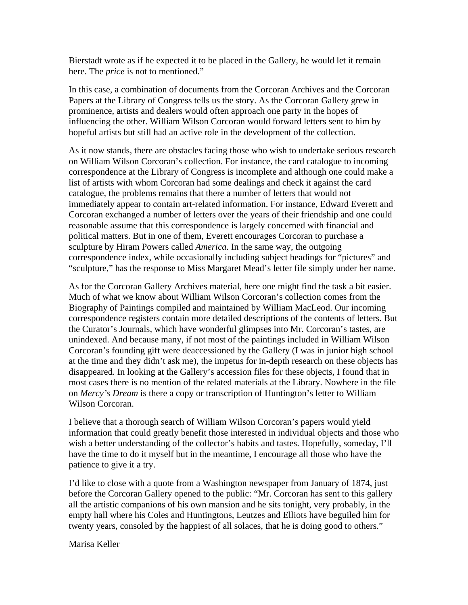Bierstadt wrote as if he expected it to be placed in the Gallery, he would let it remain here. The *price* is not to mentioned."

In this case, a combination of documents from the Corcoran Archives and the Corcoran Papers at the Library of Congress tells us the story. As the Corcoran Gallery grew in prominence, artists and dealers would often approach one party in the hopes of influencing the other. William Wilson Corcoran would forward letters sent to him by hopeful artists but still had an active role in the development of the collection.

As it now stands, there are obstacles facing those who wish to undertake serious research on William Wilson Corcoran's collection. For instance, the card catalogue to incoming correspondence at the Library of Congress is incomplete and although one could make a list of artists with whom Corcoran had some dealings and check it against the card catalogue, the problems remains that there a number of letters that would not immediately appear to contain art-related information. For instance, Edward Everett and Corcoran exchanged a number of letters over the years of their friendship and one could reasonable assume that this correspondence is largely concerned with financial and political matters. But in one of them, Everett encourages Corcoran to purchase a sculpture by Hiram Powers called *America*. In the same way, the outgoing correspondence index, while occasionally including subject headings for "pictures" and "sculpture," has the response to Miss Margaret Mead's letter file simply under her name.

As for the Corcoran Gallery Archives material, here one might find the task a bit easier. Much of what we know about William Wilson Corcoran's collection comes from the Biography of Paintings compiled and maintained by William MacLeod. Our incoming correspondence registers contain more detailed descriptions of the contents of letters. But the Curator's Journals, which have wonderful glimpses into Mr. Corcoran's tastes, are unindexed. And because many, if not most of the paintings included in William Wilson Corcoran's founding gift were deaccessioned by the Gallery (I was in junior high school at the time and they didn't ask me), the impetus for in-depth research on these objects has disappeared. In looking at the Gallery's accession files for these objects, I found that in most cases there is no mention of the related materials at the Library. Nowhere in the file on *Mercy's Dream* is there a copy or transcription of Huntington's letter to William Wilson Corcoran.

I believe that a thorough search of William Wilson Corcoran's papers would yield information that could greatly benefit those interested in individual objects and those who wish a better understanding of the collector's habits and tastes. Hopefully, someday, I'll have the time to do it myself but in the meantime, I encourage all those who have the patience to give it a try.

I'd like to close with a quote from a Washington newspaper from January of 1874, just before the Corcoran Gallery opened to the public: "Mr. Corcoran has sent to this gallery all the artistic companions of his own mansion and he sits tonight, very probably, in the empty hall where his Coles and Huntingtons, Leutzes and Elliots have beguiled him for twenty years, consoled by the happiest of all solaces, that he is doing good to others."

Marisa Keller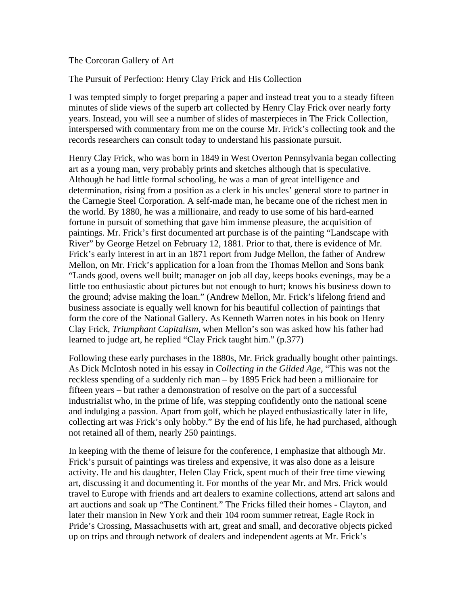#### The Corcoran Gallery of Art

The Pursuit of Perfection: Henry Clay Frick and His Collection

I was tempted simply to forget preparing a paper and instead treat you to a steady fifteen minutes of slide views of the superb art collected by Henry Clay Frick over nearly forty years. Instead, you will see a number of slides of masterpieces in The Frick Collection, interspersed with commentary from me on the course Mr. Frick's collecting took and the records researchers can consult today to understand his passionate pursuit.

Henry Clay Frick, who was born in 1849 in West Overton Pennsylvania began collecting art as a young man, very probably prints and sketches although that is speculative. Although he had little formal schooling, he was a man of great intelligence and determination, rising from a position as a clerk in his uncles' general store to partner in the Carnegie Steel Corporation. A self-made man, he became one of the richest men in the world. By 1880, he was a millionaire, and ready to use some of his hard-earned fortune in pursuit of something that gave him immense pleasure, the acquisition of paintings. Mr. Frick's first documented art purchase is of the painting "Landscape with River" by George Hetzel on February 12, 1881. Prior to that, there is evidence of Mr. Frick's early interest in art in an 1871 report from Judge Mellon, the father of Andrew Mellon, on Mr. Frick's application for a loan from the Thomas Mellon and Sons bank "Lands good, ovens well built; manager on job all day, keeps books evenings, may be a little too enthusiastic about pictures but not enough to hurt; knows his business down to the ground; advise making the loan." (Andrew Mellon, Mr. Frick's lifelong friend and business associate is equally well known for his beautiful collection of paintings that form the core of the National Gallery. As Kenneth Warren notes in his book on Henry Clay Frick, *Triumphant Capitalism*, when Mellon's son was asked how his father had learned to judge art, he replied "Clay Frick taught him." (p.377)

Following these early purchases in the 1880s, Mr. Frick gradually bought other paintings. As Dick McIntosh noted in his essay in *Collecting in the Gilded Age,* "This was not the reckless spending of a suddenly rich man – by 1895 Frick had been a millionaire for fifteen years – but rather a demonstration of resolve on the part of a successful industrialist who, in the prime of life, was stepping confidently onto the national scene and indulging a passion. Apart from golf, which he played enthusiastically later in life, collecting art was Frick's only hobby." By the end of his life, he had purchased, although not retained all of them, nearly 250 paintings.

In keeping with the theme of leisure for the conference, I emphasize that although Mr. Frick's pursuit of paintings was tireless and expensive, it was also done as a leisure activity. He and his daughter, Helen Clay Frick, spent much of their free time viewing art, discussing it and documenting it. For months of the year Mr. and Mrs. Frick would travel to Europe with friends and art dealers to examine collections, attend art salons and art auctions and soak up "The Continent." The Fricks filled their homes - Clayton, and later their mansion in New York and their 104 room summer retreat, Eagle Rock in Pride's Crossing, Massachusetts with art, great and small, and decorative objects picked up on trips and through network of dealers and independent agents at Mr. Frick's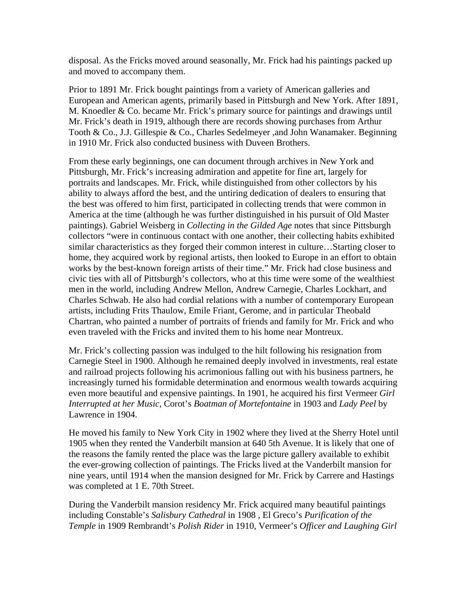disposal. As the Fricks moved around seasonally, Mr. Frick had his paintings packed up and moved to accompany them.

Prior to 1891 Mr. Frick bought paintings from a variety of American galleries and European and American agents, primarily based in Pittsburgh and New York. After 1891, M. Knoedler & Co. became Mr. Frick's primary source for paintings and drawings until Mr. Frick's death in 1919, although there are records showing purchases from Arthur Tooth & Co., J.J. Gillespie & Co., Charles Sedelmeyer ,and John Wanamaker. Beginning in 1910 Mr. Frick also conducted business with Duveen Brothers.

From these early beginnings, one can document through archives in New York and Pittsburgh, Mr. Frick's increasing admiration and appetite for fine art, largely for portraits and landscapes. Mr. Frick, while distinguished from other collectors by his ability to always afford the best, and the untiring dedication of dealers to ensuring that the best was offered to him first, participated in collecting trends that were common in America at the time (although he was further distinguished in his pursuit of Old Master paintings). Gabriel Weisberg in *Collecting in the Gilded Age* notes that since Pittsburgh collectors "were in continuous contact with one another, their collecting habits exhibited similar characteristics as they forged their common interest in culture…Starting closer to home, they acquired work by regional artists, then looked to Europe in an effort to obtain works by the best-known foreign artists of their time." Mr. Frick had close business and civic ties with all of Pittsburgh's collectors, who at this time were some of the wealthiest men in the world, including Andrew Mellon, Andrew Carnegie, Charles Lockhart, and Charles Schwab. He also had cordial relations with a number of contemporary European artists, including Frits Thaulow, Emile Friant, Gerome, and in particular Theobald Chartran, who painted a number of portraits of friends and family for Mr. Frick and who even traveled with the Fricks and invited them to his home near Montreux.

Mr. Frick's collecting passion was indulged to the hilt following his resignation from Carnegie Steel in 1900. Although he remained deeply involved in investments, real estate and railroad projects following his acrimonious falling out with his business partners, he increasingly turned his formidable determination and enormous wealth towards acquiring even more beautiful and expensive paintings. In 1901, he acquired his first Vermeer *Girl Interrupted at her Music*, Corot's *Boatman of Mortefontaine* in 1903 and *Lady Peel* by Lawrence in 1904.

He moved his family to New York City in 1902 where they lived at the Sherry Hotel until 1905 when they rented the Vanderbilt mansion at 640 5th Avenue. It is likely that one of the reasons the family rented the place was the large picture gallery available to exhibit the ever-growing collection of paintings. The Fricks lived at the Vanderbilt mansion for nine years, until 1914 when the mansion designed for Mr. Frick by Carrere and Hastings was completed at 1 E. 70th Street.

During the Vanderbilt mansion residency Mr. Frick acquired many beautiful paintings including Constable's *Salisbury Cathedral* in 1908 , El Greco's *Purification of the Temple* in 1909 Rembrandt's *Polish Rider* in 1910, Vermeer's *Officer and Laughing Girl*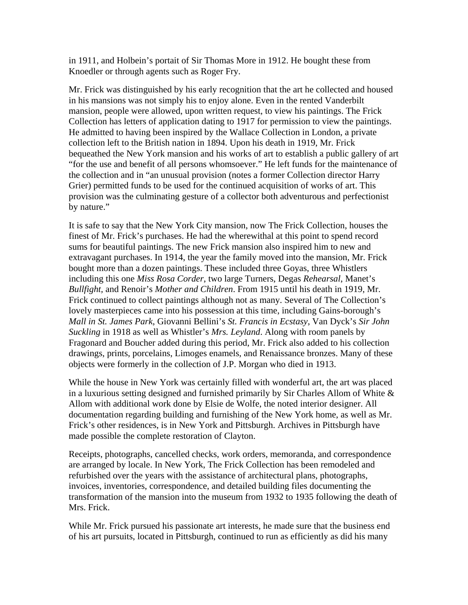in 1911, and Holbein's portait of Sir Thomas More in 1912. He bought these from Knoedler or through agents such as Roger Fry.

Mr. Frick was distinguished by his early recognition that the art he collected and housed in his mansions was not simply his to enjoy alone. Even in the rented Vanderbilt mansion, people were allowed, upon written request, to view his paintings. The Frick Collection has letters of application dating to 1917 for permission to view the paintings. He admitted to having been inspired by the Wallace Collection in London, a private collection left to the British nation in 1894. Upon his death in 1919, Mr. Frick bequeathed the New York mansion and his works of art to establish a public gallery of art "for the use and benefit of all persons whomsoever." He left funds for the maintenance of the collection and in "an unusual provision (notes a former Collection director Harry Grier) permitted funds to be used for the continued acquisition of works of art. This provision was the culminating gesture of a collector both adventurous and perfectionist by nature."

It is safe to say that the New York City mansion, now The Frick Collection, houses the finest of Mr. Frick's purchases. He had the wherewithal at this point to spend record sums for beautiful paintings. The new Frick mansion also inspired him to new and extravagant purchases. In 1914, the year the family moved into the mansion, Mr. Frick bought more than a dozen paintings. These included three Goyas, three Whistlers including this one *Miss Rosa Corder*, two large Turners, Degas *Rehearsal*, Manet's *Bullfight,* and Renoir's *Mother and Children*. From 1915 until his death in 1919, Mr. Frick continued to collect paintings although not as many. Several of The Collection's lovely masterpieces came into his possession at this time, including Gains-borough's *Mall in St. James Park*, Giovanni Bellini's *St. Francis in Ecstasy*, Van Dyck's *Sir John Suckling* in 1918 as well as Whistler's *Mrs. Leyland*. Along with room panels by Fragonard and Boucher added during this period, Mr. Frick also added to his collection drawings, prints, porcelains, Limoges enamels, and Renaissance bronzes. Many of these objects were formerly in the collection of J.P. Morgan who died in 1913.

While the house in New York was certainly filled with wonderful art, the art was placed in a luxurious setting designed and furnished primarily by Sir Charles Allom of White  $\&$ Allom with additional work done by Elsie de Wolfe, the noted interior designer. All documentation regarding building and furnishing of the New York home, as well as Mr. Frick's other residences, is in New York and Pittsburgh. Archives in Pittsburgh have made possible the complete restoration of Clayton.

Receipts, photographs, cancelled checks, work orders, memoranda, and correspondence are arranged by locale. In New York, The Frick Collection has been remodeled and refurbished over the years with the assistance of architectural plans, photographs, invoices, inventories, correspondence, and detailed building files documenting the transformation of the mansion into the museum from 1932 to 1935 following the death of Mrs. Frick.

While Mr. Frick pursued his passionate art interests, he made sure that the business end of his art pursuits, located in Pittsburgh, continued to run as efficiently as did his many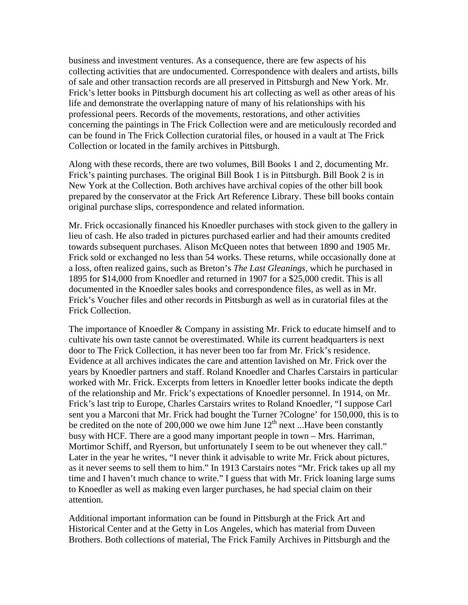business and investment ventures. As a consequence, there are few aspects of his collecting activities that are undocumented. Correspondence with dealers and artists, bills of sale and other transaction records are all preserved in Pittsburgh and New York. Mr. Frick's letter books in Pittsburgh document his art collecting as well as other areas of his life and demonstrate the overlapping nature of many of his relationships with his professional peers. Records of the movements, restorations, and other activities concerning the paintings in The Frick Collection were and are meticulously recorded and can be found in The Frick Collection curatorial files, or housed in a vault at The Frick Collection or located in the family archives in Pittsburgh.

Along with these records, there are two volumes, Bill Books 1 and 2, documenting Mr. Frick's painting purchases. The original Bill Book 1 is in Pittsburgh. Bill Book 2 is in New York at the Collection. Both archives have archival copies of the other bill book prepared by the conservator at the Frick Art Reference Library. These bill books contain original purchase slips, correspondence and related information.

Mr. Frick occasionally financed his Knoedler purchases with stock given to the gallery in lieu of cash. He also traded in pictures purchased earlier and had their amounts credited towards subsequent purchases. Alison McQueen notes that between 1890 and 1905 Mr. Frick sold or exchanged no less than 54 works. These returns, while occasionally done at a loss, often realized gains, such as Breton's *The Last Gleanings*, which he purchased in 1895 for \$14,000 from Knoedler and returned in 1907 for a \$25,000 credit. This is all documented in the Knoedler sales books and correspondence files, as well as in Mr. Frick's Voucher files and other records in Pittsburgh as well as in curatorial files at the Frick Collection.

The importance of Knoedler & Company in assisting Mr. Frick to educate himself and to cultivate his own taste cannot be overestimated. While its current headquarters is next door to The Frick Collection, it has never been too far from Mr. Frick's residence. Evidence at all archives indicates the care and attention lavished on Mr. Frick over the years by Knoedler partners and staff. Roland Knoedler and Charles Carstairs in particular worked with Mr. Frick. Excerpts from letters in Knoedler letter books indicate the depth of the relationship and Mr. Frick's expectations of Knoedler personnel. In 1914, on Mr. Frick's last trip to Europe, Charles Carstairs writes to Roland Knoedler, "I suppose Carl sent you a Marconi that Mr. Frick had bought the Turner ?Cologne' for 150,000, this is to be credited on the note of 200,000 we owe him June  $12<sup>th</sup>$  next ...Have been constantly busy with HCF. There are a good many important people in town – Mrs. Harriman, Mortimor Schiff, and Ryerson, but unfortunately I seem to be out whenever they call." Later in the year he writes, "I never think it advisable to write Mr. Frick about pictures, as it never seems to sell them to him." In 1913 Carstairs notes "Mr. Frick takes up all my time and I haven't much chance to write." I guess that with Mr. Frick loaning large sums to Knoedler as well as making even larger purchases, he had special claim on their attention.

Additional important information can be found in Pittsburgh at the Frick Art and Historical Center and at the Getty in Los Angeles, which has material from Duveen Brothers. Both collections of material, The Frick Family Archives in Pittsburgh and the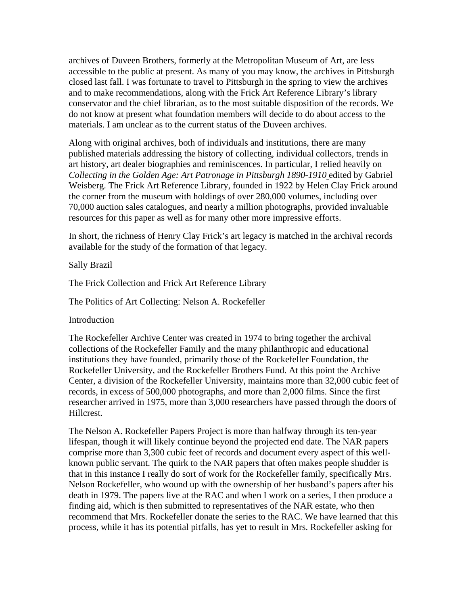archives of Duveen Brothers, formerly at the Metropolitan Museum of Art, are less accessible to the public at present. As many of you may know, the archives in Pittsburgh closed last fall. I was fortunate to travel to Pittsburgh in the spring to view the archives and to make recommendations, along with the Frick Art Reference Library's library conservator and the chief librarian, as to the most suitable disposition of the records. We do not know at present what foundation members will decide to do about access to the materials. I am unclear as to the current status of the Duveen archives.

Along with original archives, both of individuals and institutions, there are many published materials addressing the history of collecting, individual collectors, trends in art history, art dealer biographies and reminiscences. In particular, I relied heavily on *Collecting in the Golden Age: Art Patronage in Pittsburgh 1890-1910* edited by Gabriel Weisberg. The Frick Art Reference Library, founded in 1922 by Helen Clay Frick around the corner from the museum with holdings of over 280,000 volumes, including over 70,000 auction sales catalogues, and nearly a million photographs, provided invaluable resources for this paper as well as for many other more impressive efforts.

In short, the richness of Henry Clay Frick's art legacy is matched in the archival records available for the study of the formation of that legacy.

Sally Brazil

The Frick Collection and Frick Art Reference Library

The Politics of Art Collecting: Nelson A. Rockefeller

Introduction

The Rockefeller Archive Center was created in 1974 to bring together the archival collections of the Rockefeller Family and the many philanthropic and educational institutions they have founded, primarily those of the Rockefeller Foundation, the Rockefeller University, and the Rockefeller Brothers Fund. At this point the Archive Center, a division of the Rockefeller University, maintains more than 32,000 cubic feet of records, in excess of 500,000 photographs, and more than 2,000 films. Since the first researcher arrived in 1975, more than 3,000 researchers have passed through the doors of Hillcrest.

The Nelson A. Rockefeller Papers Project is more than halfway through its ten-year lifespan, though it will likely continue beyond the projected end date. The NAR papers comprise more than 3,300 cubic feet of records and document every aspect of this wellknown public servant. The quirk to the NAR papers that often makes people shudder is that in this instance I really do sort of work for the Rockefeller family, specifically Mrs. Nelson Rockefeller, who wound up with the ownership of her husband's papers after his death in 1979. The papers live at the RAC and when I work on a series, I then produce a finding aid, which is then submitted to representatives of the NAR estate, who then recommend that Mrs. Rockefeller donate the series to the RAC. We have learned that this process, while it has its potential pitfalls, has yet to result in Mrs. Rockefeller asking for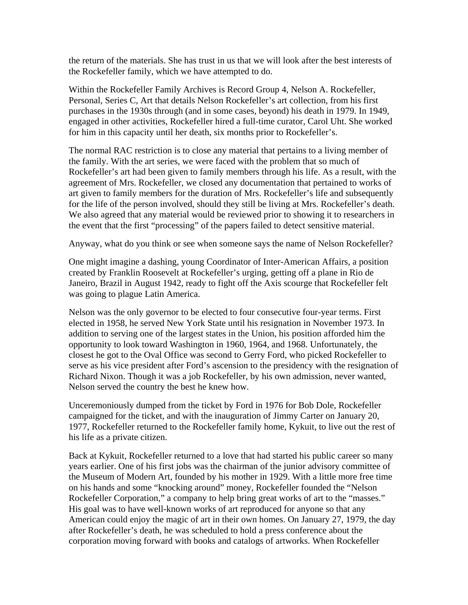the return of the materials. She has trust in us that we will look after the best interests of the Rockefeller family, which we have attempted to do.

Within the Rockefeller Family Archives is Record Group 4, Nelson A. Rockefeller, Personal, Series C, Art that details Nelson Rockefeller's art collection, from his first purchases in the 1930s through (and in some cases, beyond) his death in 1979. In 1949, engaged in other activities, Rockefeller hired a full-time curator, Carol Uht. She worked for him in this capacity until her death, six months prior to Rockefeller's.

The normal RAC restriction is to close any material that pertains to a living member of the family. With the art series, we were faced with the problem that so much of Rockefeller's art had been given to family members through his life. As a result, with the agreement of Mrs. Rockefeller, we closed any documentation that pertained to works of art given to family members for the duration of Mrs. Rockefeller's life and subsequently for the life of the person involved, should they still be living at Mrs. Rockefeller's death. We also agreed that any material would be reviewed prior to showing it to researchers in the event that the first "processing" of the papers failed to detect sensitive material.

Anyway, what do you think or see when someone says the name of Nelson Rockefeller?

One might imagine a dashing, young Coordinator of Inter-American Affairs, a position created by Franklin Roosevelt at Rockefeller's urging, getting off a plane in Rio de Janeiro, Brazil in August 1942, ready to fight off the Axis scourge that Rockefeller felt was going to plague Latin America.

Nelson was the only governor to be elected to four consecutive four-year terms. First elected in 1958, he served New York State until his resignation in November 1973. In addition to serving one of the largest states in the Union, his position afforded him the opportunity to look toward Washington in 1960, 1964, and 1968. Unfortunately, the closest he got to the Oval Office was second to Gerry Ford, who picked Rockefeller to serve as his vice president after Ford's ascension to the presidency with the resignation of Richard Nixon. Though it was a job Rockefeller, by his own admission, never wanted, Nelson served the country the best he knew how.

Unceremoniously dumped from the ticket by Ford in 1976 for Bob Dole, Rockefeller campaigned for the ticket, and with the inauguration of Jimmy Carter on January 20, 1977, Rockefeller returned to the Rockefeller family home, Kykuit, to live out the rest of his life as a private citizen.

Back at Kykuit, Rockefeller returned to a love that had started his public career so many years earlier. One of his first jobs was the chairman of the junior advisory committee of the Museum of Modern Art, founded by his mother in 1929. With a little more free time on his hands and some "knocking around" money, Rockefeller founded the "Nelson Rockefeller Corporation," a company to help bring great works of art to the "masses." His goal was to have well-known works of art reproduced for anyone so that any American could enjoy the magic of art in their own homes. On January 27, 1979, the day after Rockefeller's death, he was scheduled to hold a press conference about the corporation moving forward with books and catalogs of artworks. When Rockefeller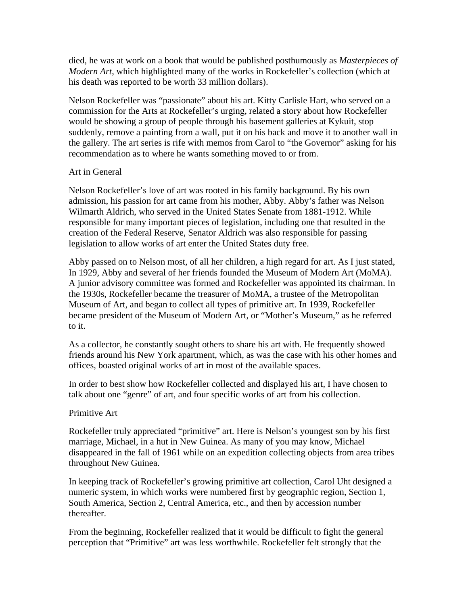died, he was at work on a book that would be published posthumously as *Masterpieces of Modern Art*, which highlighted many of the works in Rockefeller's collection (which at his death was reported to be worth 33 million dollars).

Nelson Rockefeller was "passionate" about his art. Kitty Carlisle Hart, who served on a commission for the Arts at Rockefeller's urging, related a story about how Rockefeller would be showing a group of people through his basement galleries at Kykuit, stop suddenly, remove a painting from a wall, put it on his back and move it to another wall in the gallery. The art series is rife with memos from Carol to "the Governor" asking for his recommendation as to where he wants something moved to or from.

## Art in General

Nelson Rockefeller's love of art was rooted in his family background. By his own admission, his passion for art came from his mother, Abby. Abby's father was Nelson Wilmarth Aldrich, who served in the United States Senate from 1881-1912. While responsible for many important pieces of legislation, including one that resulted in the creation of the Federal Reserve, Senator Aldrich was also responsible for passing legislation to allow works of art enter the United States duty free.

Abby passed on to Nelson most, of all her children, a high regard for art. As I just stated, In 1929, Abby and several of her friends founded the Museum of Modern Art (MoMA). A junior advisory committee was formed and Rockefeller was appointed its chairman. In the 1930s, Rockefeller became the treasurer of MoMA, a trustee of the Metropolitan Museum of Art, and began to collect all types of primitive art. In 1939, Rockefeller became president of the Museum of Modern Art, or "Mother's Museum," as he referred to it.

As a collector, he constantly sought others to share his art with. He frequently showed friends around his New York apartment, which, as was the case with his other homes and offices, boasted original works of art in most of the available spaces.

In order to best show how Rockefeller collected and displayed his art, I have chosen to talk about one "genre" of art, and four specific works of art from his collection.

# Primitive Art

Rockefeller truly appreciated "primitive" art. Here is Nelson's youngest son by his first marriage, Michael, in a hut in New Guinea. As many of you may know, Michael disappeared in the fall of 1961 while on an expedition collecting objects from area tribes throughout New Guinea.

In keeping track of Rockefeller's growing primitive art collection, Carol Uht designed a numeric system, in which works were numbered first by geographic region, Section 1, South America, Section 2, Central America, etc., and then by accession number thereafter.

From the beginning, Rockefeller realized that it would be difficult to fight the general perception that "Primitive" art was less worthwhile. Rockefeller felt strongly that the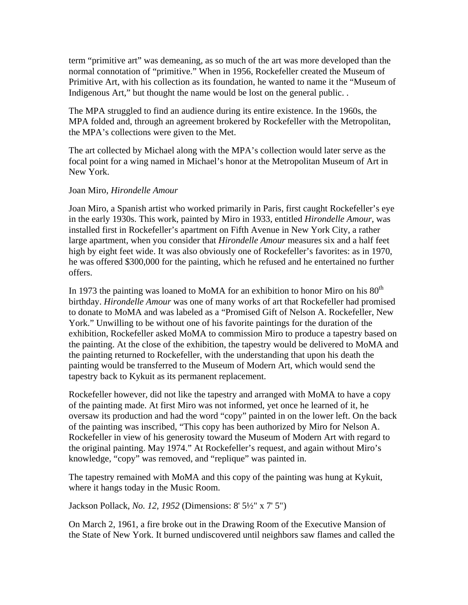term "primitive art" was demeaning, as so much of the art was more developed than the normal connotation of "primitive." When in 1956, Rockefeller created the Museum of Primitive Art, with his collection as its foundation, he wanted to name it the "Museum of Indigenous Art," but thought the name would be lost on the general public. .

The MPA struggled to find an audience during its entire existence. In the 1960s, the MPA folded and, through an agreement brokered by Rockefeller with the Metropolitan, the MPA's collections were given to the Met.

The art collected by Michael along with the MPA's collection would later serve as the focal point for a wing named in Michael's honor at the Metropolitan Museum of Art in New York.

## Joan Miro, *Hirondelle Amour*

Joan Miro, a Spanish artist who worked primarily in Paris, first caught Rockefeller's eye in the early 1930s. This work, painted by Miro in 1933, entitled *Hirondelle Amour*, was installed first in Rockefeller's apartment on Fifth Avenue in New York City, a rather large apartment, when you consider that *Hirondelle Amour* measures six and a half feet high by eight feet wide. It was also obviously one of Rockefeller's favorites: as in 1970, he was offered \$300,000 for the painting, which he refused and he entertained no further offers.

In 1973 the painting was loaned to MoMA for an exhibition to honor Miro on his  $80<sup>th</sup>$ birthday. *Hirondelle Amour* was one of many works of art that Rockefeller had promised to donate to MoMA and was labeled as a "Promised Gift of Nelson A. Rockefeller, New York." Unwilling to be without one of his favorite paintings for the duration of the exhibition, Rockefeller asked MoMA to commission Miro to produce a tapestry based on the painting. At the close of the exhibition, the tapestry would be delivered to MoMA and the painting returned to Rockefeller, with the understanding that upon his death the painting would be transferred to the Museum of Modern Art, which would send the tapestry back to Kykuit as its permanent replacement.

Rockefeller however, did not like the tapestry and arranged with MoMA to have a copy of the painting made. At first Miro was not informed, yet once he learned of it, he oversaw its production and had the word "copy" painted in on the lower left. On the back of the painting was inscribed, "This copy has been authorized by Miro for Nelson A. Rockefeller in view of his generosity toward the Museum of Modern Art with regard to the original painting. May 1974." At Rockefeller's request, and again without Miro's knowledge, "copy" was removed, and "replique" was painted in.

The tapestry remained with MoMA and this copy of the painting was hung at Kykuit, where it hangs today in the Music Room.

Jackson Pollack, *No. 12, 1952* (Dimensions: 8' 5½" x 7' 5")

On March 2, 1961, a fire broke out in the Drawing Room of the Executive Mansion of the State of New York. It burned undiscovered until neighbors saw flames and called the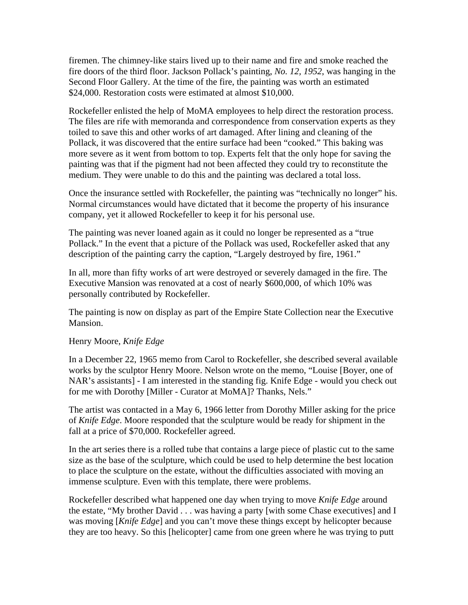firemen. The chimney-like stairs lived up to their name and fire and smoke reached the fire doors of the third floor. Jackson Pollack's painting, *No. 12, 1952*, was hanging in the Second Floor Gallery. At the time of the fire, the painting was worth an estimated \$24,000. Restoration costs were estimated at almost \$10,000.

Rockefeller enlisted the help of MoMA employees to help direct the restoration process. The files are rife with memoranda and correspondence from conservation experts as they toiled to save this and other works of art damaged. After lining and cleaning of the Pollack, it was discovered that the entire surface had been "cooked." This baking was more severe as it went from bottom to top. Experts felt that the only hope for saving the painting was that if the pigment had not been affected they could try to reconstitute the medium. They were unable to do this and the painting was declared a total loss.

Once the insurance settled with Rockefeller, the painting was "technically no longer" his. Normal circumstances would have dictated that it become the property of his insurance company, yet it allowed Rockefeller to keep it for his personal use.

The painting was never loaned again as it could no longer be represented as a "true Pollack." In the event that a picture of the Pollack was used, Rockefeller asked that any description of the painting carry the caption, "Largely destroyed by fire, 1961."

In all, more than fifty works of art were destroyed or severely damaged in the fire. The Executive Mansion was renovated at a cost of nearly \$600,000, of which 10% was personally contributed by Rockefeller.

The painting is now on display as part of the Empire State Collection near the Executive Mansion.

## Henry Moore, *Knife Edge*

In a December 22, 1965 memo from Carol to Rockefeller, she described several available works by the sculptor Henry Moore. Nelson wrote on the memo, "Louise [Boyer, one of NAR's assistants] - I am interested in the standing fig. Knife Edge - would you check out for me with Dorothy [Miller - Curator at MoMA]? Thanks, Nels."

The artist was contacted in a May 6, 1966 letter from Dorothy Miller asking for the price of *Knife Edge*. Moore responded that the sculpture would be ready for shipment in the fall at a price of \$70,000. Rockefeller agreed.

In the art series there is a rolled tube that contains a large piece of plastic cut to the same size as the base of the sculpture, which could be used to help determine the best location to place the sculpture on the estate, without the difficulties associated with moving an immense sculpture. Even with this template, there were problems.

Rockefeller described what happened one day when trying to move *Knife Edge* around the estate, "My brother David . . . was having a party [with some Chase executives] and I was moving [*Knife Edge*] and you can't move these things except by helicopter because they are too heavy. So this [helicopter] came from one green where he was trying to putt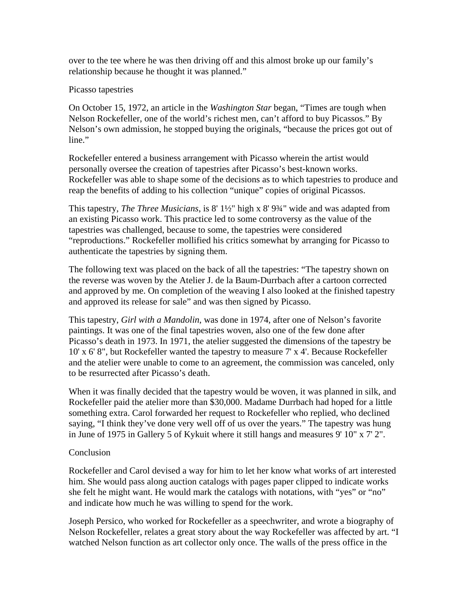over to the tee where he was then driving off and this almost broke up our family's relationship because he thought it was planned."

## Picasso tapestries

On October 15, 1972, an article in the *Washington Star* began, "Times are tough when Nelson Rockefeller, one of the world's richest men, can't afford to buy Picassos." By Nelson's own admission, he stopped buying the originals, "because the prices got out of line."

Rockefeller entered a business arrangement with Picasso wherein the artist would personally oversee the creation of tapestries after Picasso's best-known works. Rockefeller was able to shape some of the decisions as to which tapestries to produce and reap the benefits of adding to his collection "unique" copies of original Picassos.

This tapestry, *The Three Musicians*, is 8' 1½" high x 8' 9¾" wide and was adapted from an existing Picasso work. This practice led to some controversy as the value of the tapestries was challenged, because to some, the tapestries were considered "reproductions." Rockefeller mollified his critics somewhat by arranging for Picasso to authenticate the tapestries by signing them.

The following text was placed on the back of all the tapestries: "The tapestry shown on the reverse was woven by the Atelier J. de la Baum-Durrbach after a cartoon corrected and approved by me. On completion of the weaving I also looked at the finished tapestry and approved its release for sale" and was then signed by Picasso.

This tapestry, *Girl with a Mandolin*, was done in 1974, after one of Nelson's favorite paintings. It was one of the final tapestries woven, also one of the few done after Picasso's death in 1973. In 1971, the atelier suggested the dimensions of the tapestry be 10' x 6' 8", but Rockefeller wanted the tapestry to measure 7' x 4'. Because Rockefeller and the atelier were unable to come to an agreement, the commission was canceled, only to be resurrected after Picasso's death.

When it was finally decided that the tapestry would be woven, it was planned in silk, and Rockefeller paid the atelier more than \$30,000. Madame Durrbach had hoped for a little something extra. Carol forwarded her request to Rockefeller who replied, who declined saying, "I think they've done very well off of us over the years." The tapestry was hung in June of 1975 in Gallery 5 of Kykuit where it still hangs and measures 9' 10" x 7' 2".

# Conclusion

Rockefeller and Carol devised a way for him to let her know what works of art interested him. She would pass along auction catalogs with pages paper clipped to indicate works she felt he might want. He would mark the catalogs with notations, with "yes" or "no" and indicate how much he was willing to spend for the work.

Joseph Persico, who worked for Rockefeller as a speechwriter, and wrote a biography of Nelson Rockefeller, relates a great story about the way Rockefeller was affected by art. "I watched Nelson function as art collector only once. The walls of the press office in the